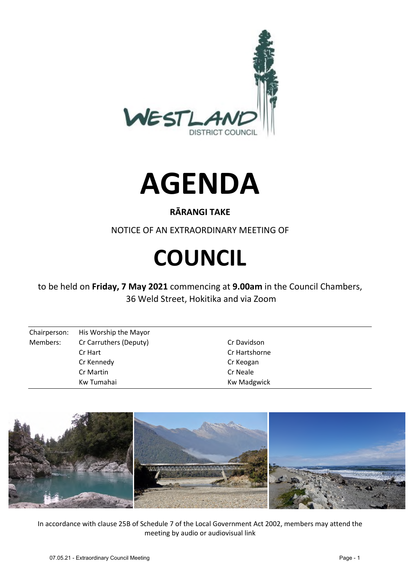



## **RĀRANGI TAKE**

NOTICE OF AN EXTRAORDINARY MEETING OF

# **COUNCIL**

to be held on **Friday, 7 May 2021** commencing at **9.00am** in the Council Chambers, 36 Weld Street, Hokitika and via Zoom

| Chairperson: | His Worship the Mayor  |                    |
|--------------|------------------------|--------------------|
| Members:     | Cr Carruthers (Deputy) | Cr Davidson        |
|              | Cr Hart                | Cr Hartshorne      |
|              | Cr Kennedy             | Cr Keogan          |
|              | Cr Martin              | Cr Neale           |
|              | Kw Tumahai             | <b>Kw Madgwick</b> |



In accordance with clause 25B of Schedule 7 of the Local Government Act 2002, members may attend the meeting by audio or audiovisual link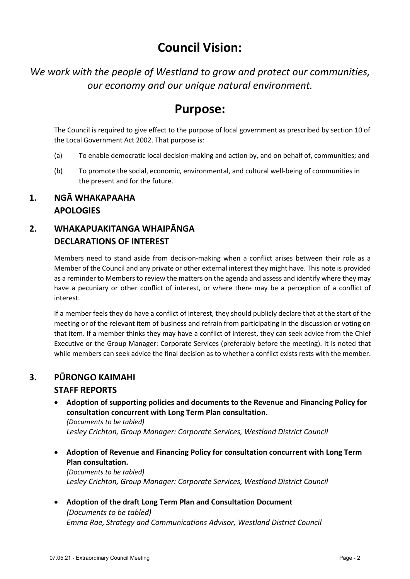# **Council Vision:**

*We work with the people of Westland to grow and protect our communities, our economy and our unique natural environment.* 

## **Purpose:**

The Council is required to give effect to the purpose of local government as prescribed by section 10 of the Local Government Act 2002. That purpose is:

- (a) To enable democratic local decision-making and action by, and on behalf of, communities; and
- (b) To promote the social, economic, environmental, and cultural well-being of communities in the present and for the future.

#### **1. NGĀ WHAKAPAAHA APOLOGIES**

### **2. WHAKAPUAKITANGA WHAIPĀNGA DECLARATIONS OF INTEREST**

Members need to stand aside from decision-making when a conflict arises between their role as a Member of the Council and any private or other external interest they might have. This note is provided as a reminder to Members to review the matters on the agenda and assess and identify where they may have a pecuniary or other conflict of interest, or where there may be a perception of a conflict of interest.

If a member feels they do have a conflict of interest, they should publicly declare that at the start of the meeting or of the relevant item of business and refrain from participating in the discussion or voting on that item. If a member thinks they may have a conflict of interest, they can seek advice from the Chief Executive or the Group Manager: Corporate Services (preferably before the meeting). It is noted that while members can seek advice the final decision as to whether a conflict exists rests with the member.

#### **3. PŪRONGO KAIMAHI**

#### **STAFF REPORTS**

 **Adoption of supporting policies and documents to the Revenue and Financing Policy for consultation concurrent with Long Term Plan consultation.**  *(Documents to be tabled)* 

*Lesley Crichton, Group Manager: Corporate Services, Westland District Council* 

 **Adoption of Revenue and Financing Policy for consultation concurrent with Long Term Plan consultation.** 

*(Documents to be tabled)*  Lesley Crichton, Group Manager: Corporate Services, Westland District Council

 **Adoption of the draft Long Term Plan and Consultation Document**  *(Documents to be tabled) Emma Rae, Strategy and Communications Advisor, Westland District Council*